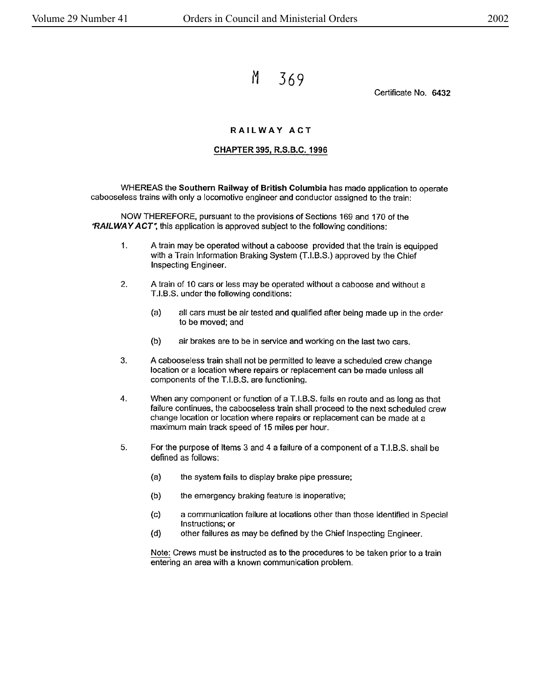M 369

Certificate No. 6432

## **RAILWAY ACT**

## **CHAPTER 395, R.S.B.C. 1996**

WHEREAS the **Southern Railway of British** Columbia has made application to operate cabooseless trains with only a locomotive engineer and conductor assigned to the train:

NOW THEREFORE, pursuant to the provisions of Sections 169 and 170 of the **"RAILWAY ACT~** this application is approved subject to the following conditions:

- 1. A train may be operated without a caboose provided that the train is equipped with a Train Information Braking System (T.I.B.S.) approved by the Chief Inspecting Engineer.
- 2. A train of 10 cars or less may be operated without a caboose and without a T.1.8.S. under the following conditions:
	- (a) all cars must be air tested and qualified after being made up in the order to be moved; and
	- (b) air brakes are to be in service and working on the last two cars.
- 3. A cabooseless train shall not be permitted to leave a scheduled crew change location or a location where repairs or replacement can be made unless all components of the T.I.B.S. are functioning.
- 4. When any component or function of a T.I.B.S. fails en route and as long as that failure continues, the cabooseless train shall proceed to the next scheduled crew change location or location where repairs or replacement can be made at a maximum main track speed of 15 miles per hour.
- 5. For the purpose of Items 3 and 4 a failure of a component of a T.I.B.S. shall be defined as follows:
	- (a) the system fails to display brake pipe pressure;
	- {b) the emergency braking feature is inoperative;
	- (c) a communication failure at locations other than those identified in Special Instructions; or
	- (d) other failures as may be defined by the Chief Inspecting Engineer.

Note: Crews must be instructed as to the procedures to be taken prior to a train entering an area with a known communication problem.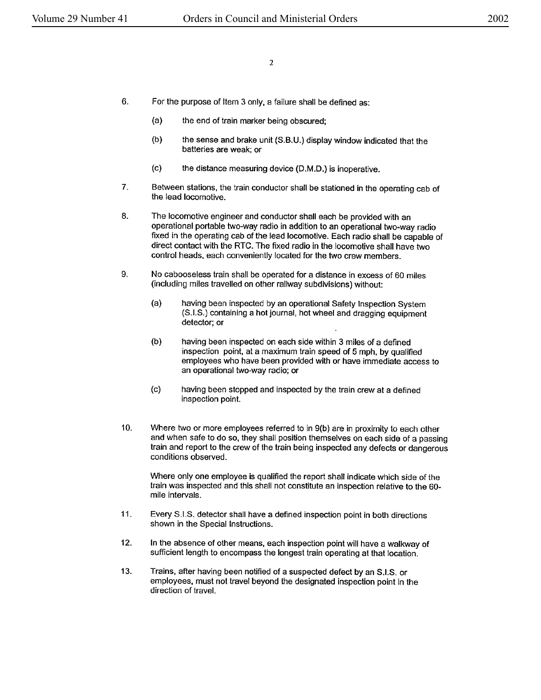- 6. For the purpose of Item 3 only, a failure shall be defined as:
	- (a) the end of train marker being obscured;
	- (b) the sense and brake unit (S.B.U.) display window indicated that the batteries are weak; or
	- (c) the distance measuring device (D.M.D.) is inoperative.
- 7. Between stations, the train conductor shall be stationed in the operating cab of the lead locomotive.
- 8. The locomotive engineer and conductor shall each be provided with an operational portable two-way radio in addition to an operational two-way radio fixed in the operating cab of the lead locomotive. Each radio shall be capable of direct contact with the RTC. The fixed radio in the locomotive shall have two control heads, each conveniently located for the two crew members.
- 9. No cabooseless train shall be operated for a distance in excess of 60 miles (including miles travelled on other railway subdivisions) without:
	- (a) having been inspected by an operational Safety Inspection System (S.I.S.) containing a hot journal, hot wheel and dragging equipment detector; or
	- (b) having been inspected on each side within 3 miles of a defined inspection point, at a maximum train speed of 5 mph, by qualified employees who have been provided with or have immediate access to an operational two-way radio; or
	- (c) having been stopped and inspected by the train crew at a defined inspection point.
- 10. Where two or more employees referred to in 9(b) are in proximity to each other and when safe to do so, they shall position themselves on each side of a passing train and report to the crew of the train being inspected any defects or dangerous conditions observed.

Where only one employee is qualified the report shall indicate which side of the train was inspected and this shall not constitute an inspection relative to the 60 mile intervals.

- 11. Every S.I.S. detector shall have a defined inspection point in both directions shown in the Special Instructions.
- 12. In the absence of other means, each inspection point will have a walkway of sufficient length to encompass the longest train operating at that location.
- 13. Trains, after having been notified of a suspected defect by an S.I.S. or employees, must not travel beyond the designated inspection point in the direction of travel.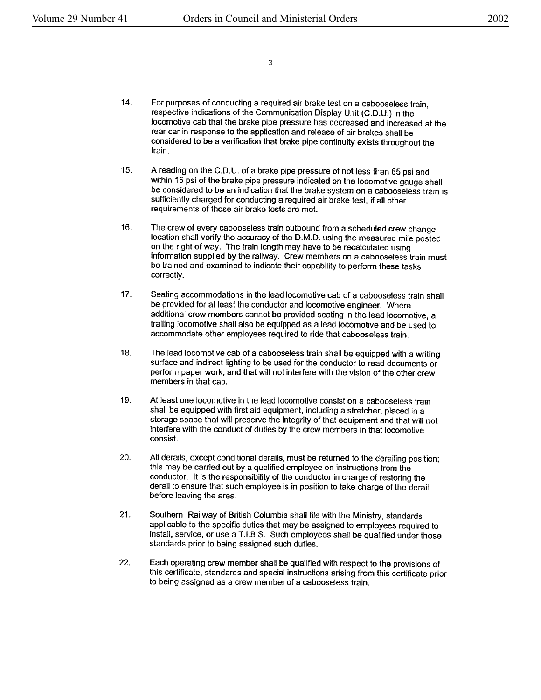3

- 14. For purposes of conducting a required air brake test on a cabooseless train, respective indications of the Communication Display Unit (C.D.U.) in the locomotive cab that the brake pipe pressure has decreased and increased at the rear car in response to the application and release of air brakes shall be considered to be a verification that brake pipe continuity exists throughout the train.
- 15. A reading on the C.D.U. of a brake pipe pressure of not less than 65 psi and within 15 psi of the brake pipe pressure indicated on the locomotive gauge shall be considered to be an indication that the brake system on a cabooseless train is sufficiently charged for conducting a required air brake test, if all other requirements of those air brake tests are met.
- 16. The crew of every cabooseless train outbound from a scheduled crew change location shall verify the accuracy of the D.M.D. using the measured mile posted on the right of way. The train length may have to be recalculated using information supplied by the railway. Crew members on a cabooseless train must be trained and examined to indicate their capability to perform these tasks correctly.
- 17. Seating accommodations in the lead locomotive cab of a cabooseless train shall be provided for at least the conductor and locomotive engineer. Where additional crew members cannot be provided seating in the lead locomotive, a trailing locomotive shall also be equipped as a lead locomotive and be used to accommodate other employees required to ride that cabooseless train.
- 18. The lead locomotive cab of a cabooseless train shall be equipped with a writing surface and indirect lighting to be used for the conductor to read documents or perform paper work, and that will not interfere with the vision of the other crew members in that cab.
- 19. At least one locomotive in the lead locomotive consist on a cabooseless train shall be equipped with first aid equipment, including a stretcher, placed in a storage space that will preserve the integrity of that equipment and that will not interfere with the conduct of duties by the crew members in that locomotive consist.
- 20. All derails, except conditional derails, must be returned to the derailing position; this may be carried out by a qualified employee on instructions from the conductor. It is the responsibility of the conductor in charge of restoring the derall to ensure that such employee is in position to take charge of the derail before leaving the area.
- 21. Southern Railway of British Columbia shall file with the Ministry, standards applicable to the specific duties that may be assigned to employees required to install, service, or use a T.1.8.S. Such employees shall be qualified under those standards prior to being assigned such duties.
- 22. Each operating crew member shall be qualified with respect to the provisions of this certificate, standards and special instructions arising from this certificate prior to being assigned as a crew member of a cabooseless train.